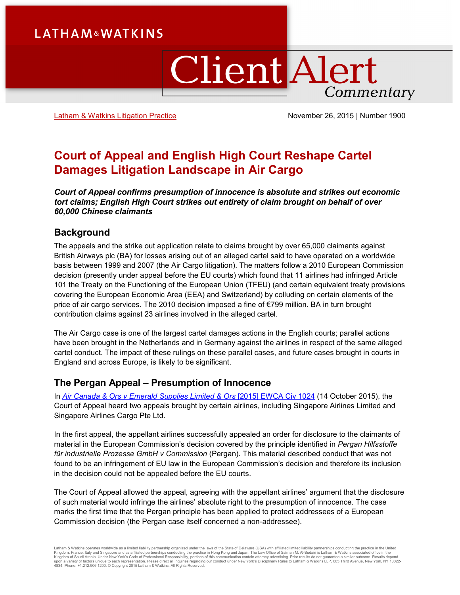# **LATHAM&WATKINS**

# ClientAlert Commentary

[Latham & Watkins Litigation Practice](https://www.lw.com/practices/Litigation) November 26, 2015 | Number 1900

## **Court of Appeal and English High Court Reshape Cartel Damages Litigation Landscape in Air Cargo**

*Court of Appeal confirms presumption of innocence is absolute and strikes out economic tort claims; English High Court strikes out entirety of claim brought on behalf of over 60,000 Chinese claimants*

#### **Background**

The appeals and the strike out application relate to claims brought by over 65,000 claimants against British Airways plc (BA) for losses arising out of an alleged cartel said to have operated on a worldwide basis between 1999 and 2007 (the Air Cargo litigation). The matters follow a 2010 European Commission decision (presently under appeal before the EU courts) which found that 11 airlines had infringed Article 101 the Treaty on the Functioning of the European Union (TFEU) (and certain equivalent treaty provisions covering the European Economic Area (EEA) and Switzerland) by colluding on certain elements of the price of air cargo services. The 2010 decision imposed a fine of €799 million. BA in turn brought contribution claims against 23 airlines involved in the alleged cartel.

The Air Cargo case is one of the largest cartel damages actions in the English courts; parallel actions have been brought in the Netherlands and in Germany against the airlines in respect of the same alleged cartel conduct. The impact of these rulings on these parallel cases, and future cases brought in courts in England and across Europe, is likely to be significant.

#### **The Pergan Appeal – Presumption of Innocence**

In *[Air Canada & Ors v Emerald Supplies Limited & Ors](http://www.bailii.org/ew/cases/EWCA/Civ/2015/1024.html)* [2015] EWCA Civ 1024 (14 October 2015[\),](http://1exagu1grkmq3k572418odoooym.wpengine.netdna-cdn.com/wp-content/uploads/2015/10/British-Airways-v-Emerald-Supplies-Limited-Others-full-judgment.pdf) the Court of Appeal heard two appeals brought by certain airlines, including Singapore Airlines Limited and Singapore Airlines Cargo Pte Ltd.

In the first appeal, the appellant airlines successfully appealed an order for disclosure to the claimants of material in the European Commission's decision covered by the principle identified in *Pergan Hilfsstoffe für industrielle Prozesse GmbH v Commission* (Pergan). This material described conduct that was not found to be an infringement of EU law in the European Commission's decision and therefore its inclusion in the decision could not be appealed before the EU courts.

The Court of Appeal allowed the appeal, agreeing with the appellant airlines' argument that the disclosure of such material would infringe the airlines' absolute right to the presumption of innocence. The case marks the first time that the Pergan principle has been applied to protect addressees of a European Commission decision (the Pergan case itself concerned a non-addressee).

Latham & Watkins operates wordwide as a limited liability partnership organized under the laws of the State of Delaware (USA) with affiliated plimited liability partnerships conducting the practice in the United Limited Li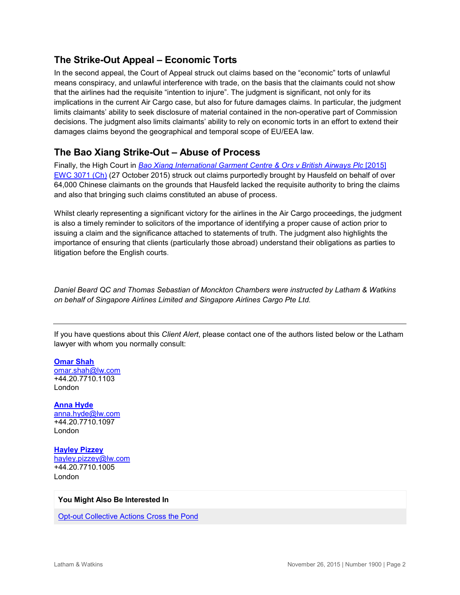### **The Strike-Out Appeal – Economic Torts**

In the second appeal, the Court of Appeal struck out claims based on the "economic" torts of unlawful means conspiracy, and unlawful interference with trade, on the basis that the claimants could not show that the airlines had the requisite "intention to injure". The judgment is significant, not only for its implications in the current Air Cargo case, but also for future damages claims. In particular, the judgment limits claimants' ability to seek disclosure of material contained in the non-operative part of Commission decisions. The judgment also limits claimants' ability to rely on economic torts in an effort to extend their damages claims beyond the geographical and temporal scope of EU/EEA law.

## **The Bao Xiang Strike-Out – Abuse of Process**

Finally, the High Court in *[Bao Xiang International Garment Centre & Ors v British Airways Plc](http://www.bailii.org/ew/cases/EWHC/Ch/2015/3071.html)* [2015] [EWC 3071 \(Ch\)](http://www.bailii.org/ew/cases/EWHC/Ch/2015/3071.html) (27 October 2015) struck out claims purportedly brought by Hausfeld on behalf of over 64,000 Chinese claimants on the grounds that Hausfeld lacked the requisite authority to bring the claims and also that bringing such claims constituted an abuse of process.

Whilst clearly representing a significant victory for the airlines in the Air Cargo proceedings, the judgment is also a timely reminder to solicitors of the importance of identifying a proper cause of action prior to issuing a claim and the significance attached to statements of truth. The judgment also highlights the importance of ensuring that clients (particularly those abroad) understand their obligations as parties to litigation before the English courts.

*Daniel Beard QC and Thomas Sebastian of Monckton Chambers were instructed by Latham & Watkins on behalf of Singapore Airlines Limited and Singapore Airlines Cargo Pte Ltd.*

If you have questions about this *Client Alert*, please contact one of the authors listed below or the Latham lawyer with whom you normally consult:

**[Omar Shah](https://www.lw.com/people/omar-shah)** [omar.shah@lw.com](mailto:omar.shah@lw.com) +44.20.7710.1103 London

**[Anna Hyde](https://www.lw.com/people/anna-hyde)** [anna.hyde@lw.com](mailto:anna.hyde@lw.com) +44.20.7710.1097 London

**[Hayley Pizzey](https://www.lw.com/people/09981)** [hayley.pizzey@lw.com](mailto:hayley.pizzey@lw.com) +44.20.7710.1005 London

#### **You Might Also Be Interested In**

[Opt-out Collective Actions Cross the Pond](http://www.latham.london/2015/10/opt-out-collective-actions-cross-the-pond/)